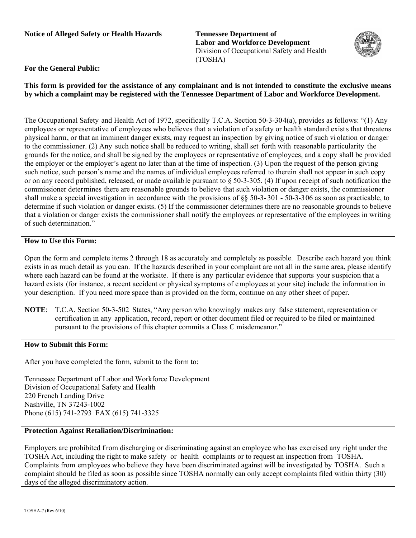**Labor and Workforce Development** Division of Occupational Safety and Health (TOSHA)



## **For the General Public:**

**This form is provided for the assistance of any complainant and is not intended to constitute the exclusive means by which a complaint may be registered with the Tennessee Department of Labor and Workforce Development.** 

The Occupational Safety and Health Act of 1972, specifically T.C.A. Section 50-3-304(a), provides as follows: "(1) Any employees or representative of employees who believes that a violation of a safety or health standard exists that threatens physical harm, or that an imminent danger exists, may request an inspection by giving notice of such vi olation or danger to the commissioner. (2) Any such notice shall be reduced to writing, shall set forth with reasonable particularity the grounds for the notice, and shall be signed by the employees or representative of employees, and a copy shall be provided the employer or the employer's agent no later than at the time of inspection. (3) Upon the request of the person giving such notice, such person's name and the names of individual employees referred to therein shall not appear in such copy or on any record published, released, or made available pursuant to  $\S$  50-3-305. (4) If upon receipt of such notification the commissioner determines there are reasonable grounds to believe that such violation or danger exists, the commissioner shall make a special investigation in accordance with the provisions of §§ 50-3- 301 - 50-3-306 as soon as practicable, to determine if such violation or danger exists. (5) If the commissioner determines there are no reasonable grounds to believe that a violation or danger exists the commissioner shall notify the employees or representative of the employees in writing of such determination."

## **How to Use this Form:**

Open the form and complete items 2 through 18 as accurately and completely as possible. Describe each hazard you think exists in as much detail as you can. If the hazards described in your complaint are not all in the same area, please identify where each hazard can be found at the worksite. If there is any particular evidence that supports your suspicion that a hazard exists (for instance, a recent accident or physical symptoms of e mployees at your site) include the information in your description. If you need more space than is provided on the form, continue on any other sheet of paper.

**NOTE**: T.C.A. Section 50-3-502 States, "Any person who knowingly makes any false statement, representation or certification in any application, record, report or other document filed or required to be filed or maintained pursuant to the provisions of this chapter commits a Class C misdemeanor."

## **How to Submit this Form:**

After you have completed the form, submit to the form to:

Tennessee Department of Labor and Workforce Development Division of Occupational Safety and Health 220 French Landing Drive Nashville, TN 37243-1002 Phone (615) 741-2793 FAX (615) 741-3325

## **Protection Against Retaliation/Discrimination:**

Employers are prohibited f rom discharging or discriminating against an employee who has exercised any right under the TOSHA Act, including the right to make safety or health complaints or to request an inspection from TOSHA. Complaints from employees who believe they have been discriminated against will be investigated by TOSHA. Such a complaint should be filed as soon as possible since TOSHA normally can only accept complaints filed within thirty (30) days of the alleged discriminatory action.